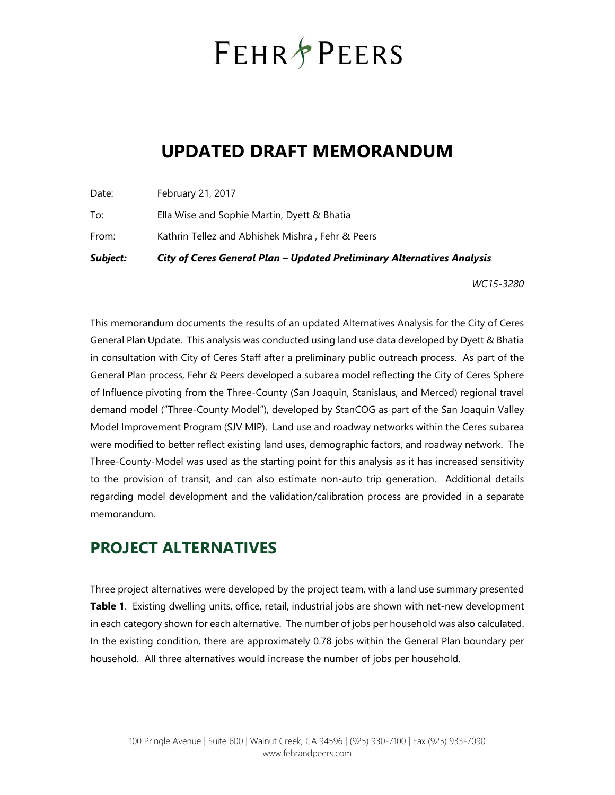# **FEHR PEERS**

## **UPDATED DRAFT MEMORANDUM**

Date: February 21, 2017 To: Ella Wise and Sophie Martin, Dyett & Bhatia From: Kathrin Tellez and Abhishek Mishra , Fehr & Peers *Subject: City of Ceres General Plan – Updated Preliminary Alternatives Analysis*

*WC15-3280*

This memorandum documents the results of an updated Alternatives Analysis for the City of Ceres General Plan Update. This analysis was conducted using land use data developed by Dyett & Bhatia in consultation with City of Ceres Staff after a preliminary public outreach process. As part of the General Plan process, Fehr & Peers developed a subarea model reflecting the City of Ceres Sphere of Influence pivoting from the Three-County (San Joaquin, Stanislaus, and Merced) regional travel demand model ("Three-County Model"), developed by StanCOG as part of the San Joaquin Valley Model Improvement Program (SJV MIP). Land use and roadway networks within the Ceres subarea were modified to better reflect existing land uses, demographic factors, and roadway network. The Three-County-Model was used as the starting point for this analysis as it has increased sensitivity to the provision of transit, and can also estimate non-auto trip generation. Additional details regarding model development and the validation/calibration process are provided in a separate memorandum.

## **PROJECT ALTERNATIVES**

Three project alternatives were developed by the project team, with a land use summary presented **Table 1**. Existing dwelling units, office, retail, industrial jobs are shown with net-new development in each category shown for each alternative. The number of jobs per household was also calculated. In the existing condition, there are approximately 0.78 jobs within the General Plan boundary per household. All three alternatives would increase the number of jobs per household.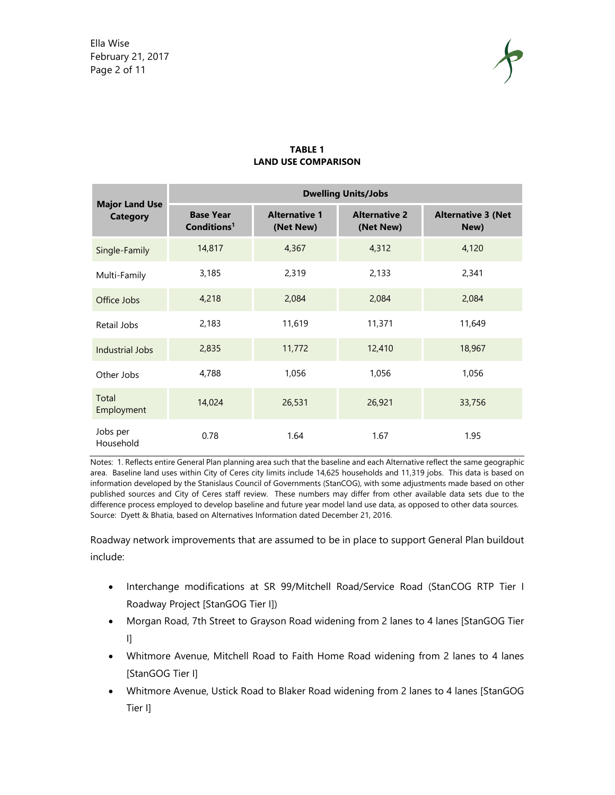Ella Wise February 21, 2017 Page 2 of 11



|                                          | <b>Dwelling Units/Jobs</b>                  |                                   |                                   |                                   |  |  |
|------------------------------------------|---------------------------------------------|-----------------------------------|-----------------------------------|-----------------------------------|--|--|
| <b>Major Land Use</b><br><b>Category</b> | <b>Base Year</b><br>Conditions <sup>1</sup> | <b>Alternative 1</b><br>(Net New) | <b>Alternative 2</b><br>(Net New) | <b>Alternative 3 (Net</b><br>New) |  |  |
| Single-Family                            | 14,817                                      | 4,367                             | 4,312                             | 4,120                             |  |  |
| Multi-Family                             | 3,185                                       | 2,319                             | 2,133                             | 2,341                             |  |  |
| Office Jobs                              | 4,218                                       | 2,084                             | 2,084                             | 2,084                             |  |  |
| Retail Jobs                              | 2,183                                       | 11,619                            | 11,371                            | 11,649                            |  |  |
| Industrial Jobs                          | 2,835                                       | 11,772                            | 12,410                            | 18,967                            |  |  |
| Other Jobs                               | 4,788                                       | 1,056                             | 1,056                             | 1,056                             |  |  |
| Total<br>Employment                      | 14,024                                      | 26,531                            | 26,921                            | 33,756                            |  |  |
| Jobs per<br>Household                    | 0.78                                        | 1.64                              | 1.67                              | 1.95                              |  |  |

#### **TABLE 1 LAND USE COMPARISON**

Notes: 1. Reflects entire General Plan planning area such that the baseline and each Alternative reflect the same geographic area. Baseline land uses within City of Ceres city limits include 14,625 households and 11,319 jobs. This data is based on information developed by the Stanislaus Council of Governments (StanCOG), with some adjustments made based on other published sources and City of Ceres staff review. These numbers may differ from other available data sets due to the difference process employed to develop baseline and future year model land use data, as opposed to other data sources. Source: Dyett & Bhatia, based on Alternatives Information dated December 21, 2016.

Roadway network improvements that are assumed to be in place to support General Plan buildout include:

- Interchange modifications at SR 99/Mitchell Road/Service Road (StanCOG RTP Tier I Roadway Project [StanGOG Tier I])
- Morgan Road, 7th Street to Grayson Road widening from 2 lanes to 4 lanes [StanGOG Tier  $\mathbf{I}$
- Whitmore Avenue, Mitchell Road to Faith Home Road widening from 2 lanes to 4 lanes [StanGOG Tier I]
- Whitmore Avenue, Ustick Road to Blaker Road widening from 2 lanes to 4 lanes [StanGOG Tier I]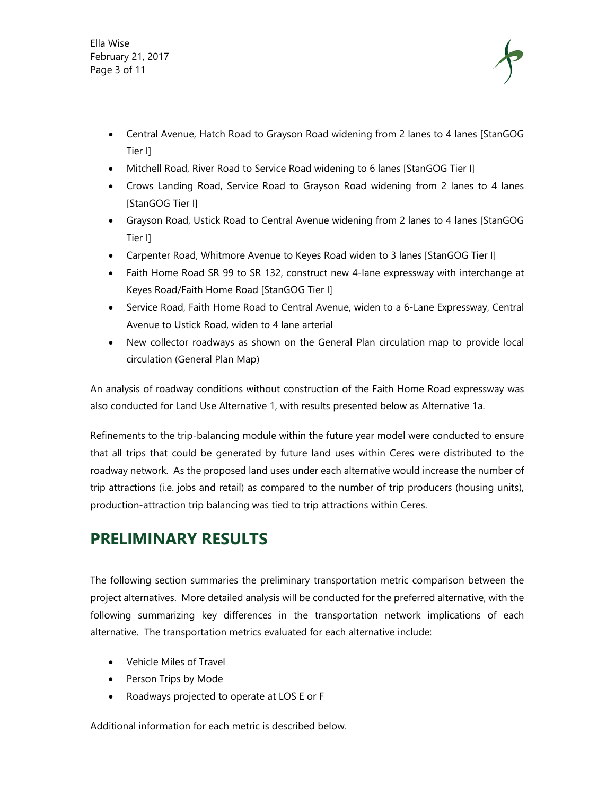Ella Wise February 21, 2017 Page 3 of 11



- Central Avenue, Hatch Road to Grayson Road widening from 2 lanes to 4 lanes [StanGOG Tier I]
- Mitchell Road, River Road to Service Road widening to 6 lanes [StanGOG Tier I]
- Crows Landing Road, Service Road to Grayson Road widening from 2 lanes to 4 lanes [StanGOG Tier I]
- Grayson Road, Ustick Road to Central Avenue widening from 2 lanes to 4 lanes [StanGOG Tier I]
- Carpenter Road, Whitmore Avenue to Keyes Road widen to 3 lanes [StanGOG Tier I]
- Faith Home Road SR 99 to SR 132, construct new 4-lane expressway with interchange at Keyes Road/Faith Home Road [StanGOG Tier I]
- Service Road, Faith Home Road to Central Avenue, widen to a 6-Lane Expressway, Central Avenue to Ustick Road, widen to 4 lane arterial
- New collector roadways as shown on the General Plan circulation map to provide local circulation (General Plan Map)

An analysis of roadway conditions without construction of the Faith Home Road expressway was also conducted for Land Use Alternative 1, with results presented below as Alternative 1a.

Refinements to the trip-balancing module within the future year model were conducted to ensure that all trips that could be generated by future land uses within Ceres were distributed to the roadway network. As the proposed land uses under each alternative would increase the number of trip attractions (i.e. jobs and retail) as compared to the number of trip producers (housing units), production-attraction trip balancing was tied to trip attractions within Ceres.

### **PRELIMINARY RESULTS**

The following section summaries the preliminary transportation metric comparison between the project alternatives. More detailed analysis will be conducted for the preferred alternative, with the following summarizing key differences in the transportation network implications of each alternative. The transportation metrics evaluated for each alternative include:

- Vehicle Miles of Travel
- Person Trips by Mode
- Roadways projected to operate at LOS E or F

Additional information for each metric is described below.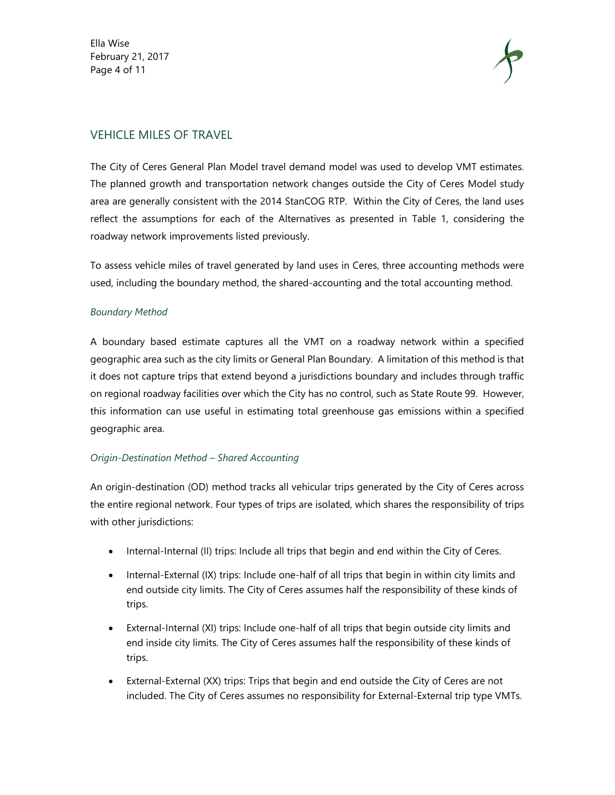Ella Wise February 21, 2017 Page 4 of 11



#### VEHICLE MILES OF TRAVEL

The City of Ceres General Plan Model travel demand model was used to develop VMT estimates. The planned growth and transportation network changes outside the City of Ceres Model study area are generally consistent with the 2014 StanCOG RTP. Within the City of Ceres, the land uses reflect the assumptions for each of the Alternatives as presented in Table 1, considering the roadway network improvements listed previously.

To assess vehicle miles of travel generated by land uses in Ceres, three accounting methods were used, including the boundary method, the shared-accounting and the total accounting method.

#### *Boundary Method*

A boundary based estimate captures all the VMT on a roadway network within a specified geographic area such as the city limits or General Plan Boundary. A limitation of this method is that it does not capture trips that extend beyond a jurisdictions boundary and includes through traffic on regional roadway facilities over which the City has no control, such as State Route 99. However, this information can use useful in estimating total greenhouse gas emissions within a specified geographic area.

#### *Origin-Destination Method – Shared Accounting*

An origin-destination (OD) method tracks all vehicular trips generated by the City of Ceres across the entire regional network. Four types of trips are isolated, which shares the responsibility of trips with other jurisdictions:

- Internal-Internal (II) trips: Include all trips that begin and end within the City of Ceres.
- Internal-External (IX) trips: Include one-half of all trips that begin in within city limits and end outside city limits. The City of Ceres assumes half the responsibility of these kinds of trips.
- External-Internal (XI) trips: Include one-half of all trips that begin outside city limits and end inside city limits. The City of Ceres assumes half the responsibility of these kinds of trips.
- External-External (XX) trips: Trips that begin and end outside the City of Ceres are not included. The City of Ceres assumes no responsibility for External-External trip type VMTs.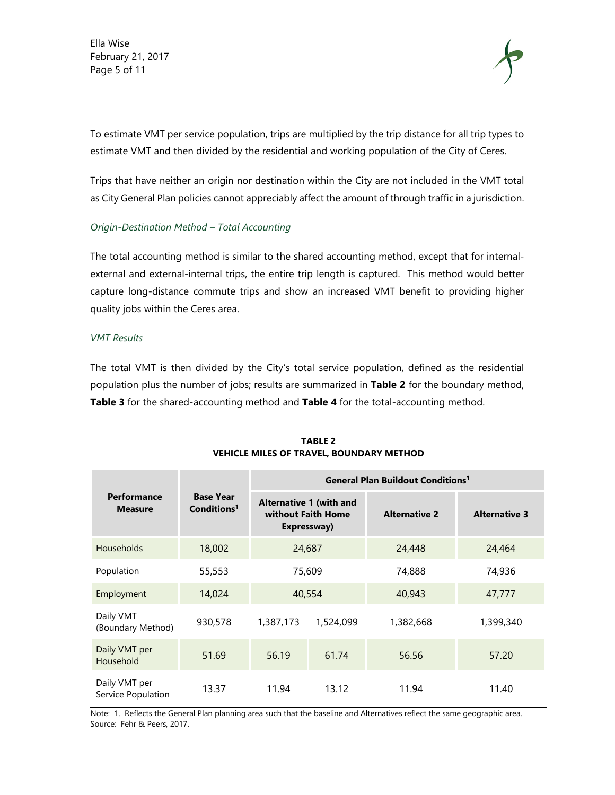Ella Wise February 21, 2017 Page 5 of 11



To estimate VMT per service population, trips are multiplied by the trip distance for all trip types to estimate VMT and then divided by the residential and working population of the City of Ceres.

Trips that have neither an origin nor destination within the City are not included in the VMT total as City General Plan policies cannot appreciably affect the amount of through traffic in a jurisdiction.

#### *Origin-Destination Method – Total Accounting*

The total accounting method is similar to the shared accounting method, except that for internalexternal and external-internal trips, the entire trip length is captured. This method would better capture long-distance commute trips and show an increased VMT benefit to providing higher quality jobs within the Ceres area.

#### *VMT Results*

The total VMT is then divided by the City's total service population, defined as the residential population plus the number of jobs; results are summarized in **Table 2** for the boundary method, **Table 3** for the shared-accounting method and **Table 4** for the total-accounting method.

|                                     |                                             | <b>General Plan Buildout Conditions<sup>1</sup></b>                 |           |                      |                      |  |
|-------------------------------------|---------------------------------------------|---------------------------------------------------------------------|-----------|----------------------|----------------------|--|
| Performance<br><b>Measure</b>       | <b>Base Year</b><br>Conditions <sup>1</sup> | <b>Alternative 1 (with and</b><br>without Faith Home<br>Expressway) |           | <b>Alternative 2</b> | <b>Alternative 3</b> |  |
| <b>Households</b>                   | 18,002                                      | 24,687                                                              |           | 24,448               | 24,464               |  |
| Population                          | 55,553                                      | 75,609                                                              |           | 74,888               | 74,936               |  |
| Employment                          | 14,024                                      | 40,554                                                              |           | 40,943               | 47,777               |  |
| Daily VMT<br>(Boundary Method)      | 930,578                                     | 1,387,173                                                           | 1,524,099 | 1,382,668            | 1,399,340            |  |
| Daily VMT per<br>Household          | 51.69                                       | 56.19                                                               | 61.74     | 56.56                | 57.20                |  |
| Daily VMT per<br>Service Population | 13.37                                       | 11.94                                                               | 13.12     | 11.94                | 11.40                |  |

**TABLE 2 VEHICLE MILES OF TRAVEL, BOUNDARY METHOD**

Note: 1. Reflects the General Plan planning area such that the baseline and Alternatives reflect the same geographic area. Source: Fehr & Peers, 2017.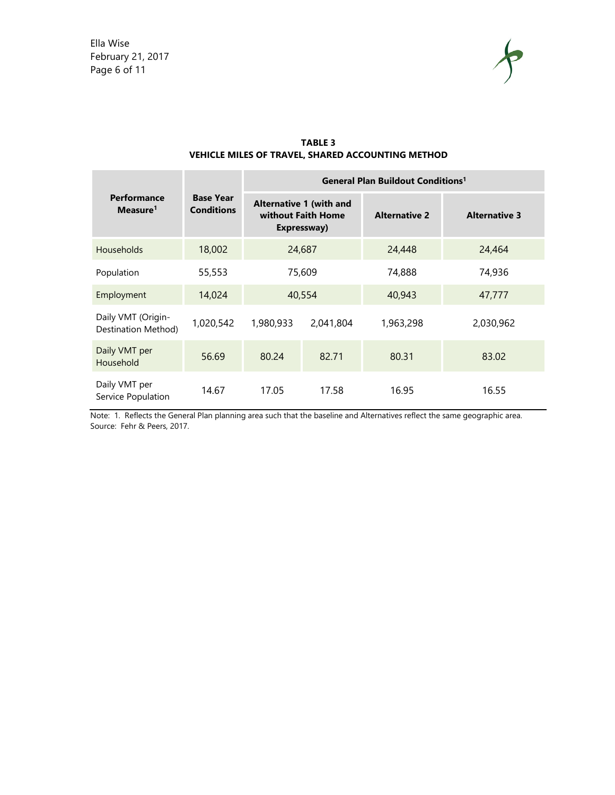

| <b>TABLE 3</b>                                           |  |  |  |  |
|----------------------------------------------------------|--|--|--|--|
| <b>VEHICLE MILES OF TRAVEL, SHARED ACCOUNTING METHOD</b> |  |  |  |  |

|                                           |                                       | <b>General Plan Buildout Conditions<sup>1</sup></b>                 |           |                      |                      |  |
|-------------------------------------------|---------------------------------------|---------------------------------------------------------------------|-----------|----------------------|----------------------|--|
| Performance<br>Measure <sup>1</sup>       | <b>Base Year</b><br><b>Conditions</b> | <b>Alternative 1 (with and</b><br>without Faith Home<br>Expressway) |           | <b>Alternative 2</b> | <b>Alternative 3</b> |  |
| <b>Households</b>                         | 18,002                                | 24,687                                                              |           | 24,448               | 24,464               |  |
| Population                                | 55,553                                | 75,609                                                              |           | 74,888               | 74,936               |  |
| Employment                                | 14,024                                | 40,554                                                              |           | 40,943               | 47,777               |  |
| Daily VMT (Origin-<br>Destination Method) | 1,020,542                             | 1,980,933                                                           | 2,041,804 | 1,963,298            | 2,030,962            |  |
| Daily VMT per<br>Household                | 56.69                                 | 80.24                                                               | 82.71     | 80.31                | 83.02                |  |
| Daily VMT per<br>Service Population       | 14.67                                 | 17.05                                                               | 17.58     | 16.95                | 16.55                |  |

Note: 1. Reflects the General Plan planning area such that the baseline and Alternatives reflect the same geographic area. Source: Fehr & Peers, 2017.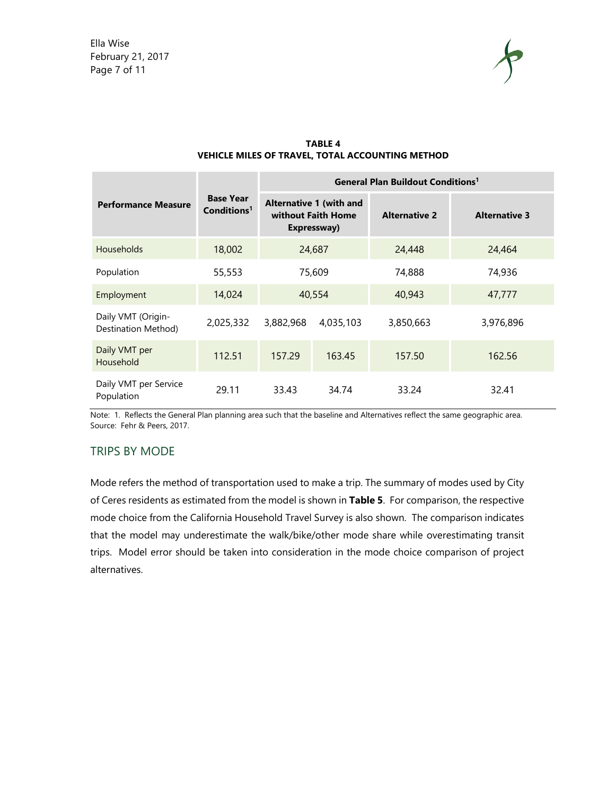

|                                           |                                             | <b>General Plan Buildout Conditions<sup>1</sup></b>                 |           |                      |                      |  |
|-------------------------------------------|---------------------------------------------|---------------------------------------------------------------------|-----------|----------------------|----------------------|--|
| <b>Performance Measure</b>                | <b>Base Year</b><br>Conditions <sup>1</sup> | <b>Alternative 1 (with and</b><br>without Faith Home<br>Expressway) |           | <b>Alternative 2</b> | <b>Alternative 3</b> |  |
| <b>Households</b>                         | 18,002                                      | 24,687                                                              |           | 24,448               | 24,464               |  |
| Population                                | 55,553                                      | 75,609                                                              |           | 74,888               | 74,936               |  |
| Employment                                | 14,024                                      | 40,554                                                              |           | 40,943               | 47,777               |  |
| Daily VMT (Origin-<br>Destination Method) | 2,025,332                                   | 3,882,968                                                           | 4,035,103 | 3,850,663            | 3,976,896            |  |
| Daily VMT per<br>Household                | 112.51                                      | 157.29                                                              | 163.45    | 157.50               | 162.56               |  |
| Daily VMT per Service<br>Population       | 29.11                                       | 33.43                                                               | 34.74     | 33.24                | 32.41                |  |

#### **TABLE 4 VEHICLE MILES OF TRAVEL, TOTAL ACCOUNTING METHOD**

Note: 1. Reflects the General Plan planning area such that the baseline and Alternatives reflect the same geographic area. Source: Fehr & Peers, 2017.

#### TRIPS BY MODE

Mode refers the method of transportation used to make a trip. The summary of modes used by City of Ceres residents as estimated from the model is shown in **Table 5**. For comparison, the respective mode choice from the California Household Travel Survey is also shown. The comparison indicates that the model may underestimate the walk/bike/other mode share while overestimating transit trips. Model error should be taken into consideration in the mode choice comparison of project alternatives.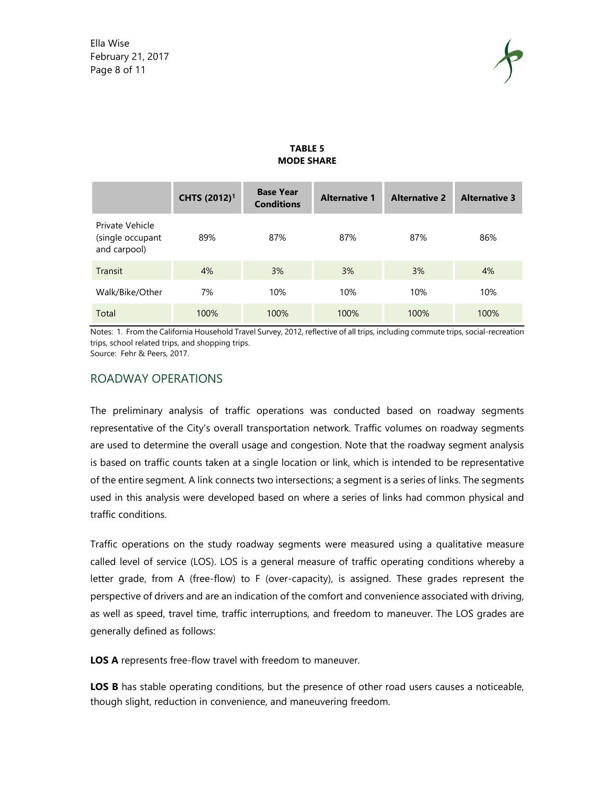

|                                                     | CHTS (2012) <sup>1</sup> | <b>Base Year</b><br><b>Conditions</b> | <b>Alternative 1</b> | <b>Alternative 2</b> | <b>Alternative 3</b> |
|-----------------------------------------------------|--------------------------|---------------------------------------|----------------------|----------------------|----------------------|
| Private Vehicle<br>(single occupant<br>and carpool) | 89%                      | 87%                                   | 87%                  | 87%                  | 86%                  |
| Transit                                             | 4%                       | 3%                                    | 3%                   | 3%                   | 4%                   |
| Walk/Bike/Other                                     | 7%                       | 10%                                   | 10%                  | 10%                  | 10%                  |
| Total                                               | 100%                     | 100%                                  | 100%                 | 100%                 | 100%                 |

#### **TABLE 5 MODE SHARE**

Notes: 1. From the California Household Travel Survey, 2012, reflective of all trips, including commute trips, social-recreation trips, school related trips, and shopping trips.

Source: Fehr & Peers, 2017.

#### ROADWAY OPERATIONS

The preliminary analysis of traffic operations was conducted based on roadway segments representative of the City's overall transportation network. Traffic volumes on roadway segments are used to determine the overall usage and congestion. Note that the roadway segment analysis is based on traffic counts taken at a single location or link, which is intended to be representative of the entire segment. A link connects two intersections; a segment is a series of links. The segments used in this analysis were developed based on where a series of links had common physical and traffic conditions.

Traffic operations on the study roadway segments were measured using a qualitative measure called level of service (LOS). LOS is a general measure of traffic operating conditions whereby a letter grade, from A (free-flow) to F (over-capacity), is assigned. These grades represent the perspective of drivers and are an indication of the comfort and convenience associated with driving, as well as speed, travel time, traffic interruptions, and freedom to maneuver. The LOS grades are generally defined as follows:

**LOS A** represents free-flow travel with freedom to maneuver.

**LOS B** has stable operating conditions, but the presence of other road users causes a noticeable, though slight, reduction in convenience, and maneuvering freedom.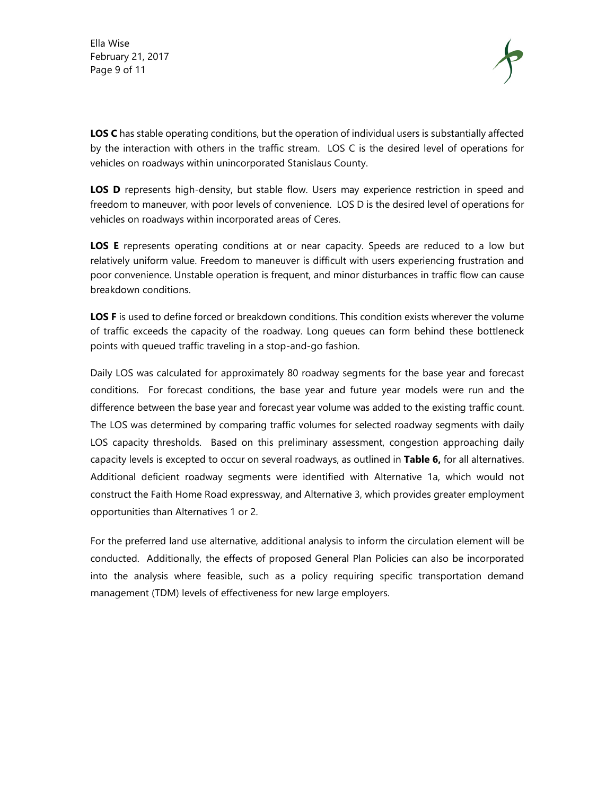Ella Wise February 21, 2017 Page 9 of 11



**LOS C** has stable operating conditions, but the operation of individual users is substantially affected by the interaction with others in the traffic stream. LOS C is the desired level of operations for vehicles on roadways within unincorporated Stanislaus County.

LOS D represents high-density, but stable flow. Users may experience restriction in speed and freedom to maneuver, with poor levels of convenience. LOS D is the desired level of operations for vehicles on roadways within incorporated areas of Ceres.

**LOS E** represents operating conditions at or near capacity. Speeds are reduced to a low but relatively uniform value. Freedom to maneuver is difficult with users experiencing frustration and poor convenience. Unstable operation is frequent, and minor disturbances in traffic flow can cause breakdown conditions.

**LOS F** is used to define forced or breakdown conditions. This condition exists wherever the volume of traffic exceeds the capacity of the roadway. Long queues can form behind these bottleneck points with queued traffic traveling in a stop-and-go fashion.

Daily LOS was calculated for approximately 80 roadway segments for the base year and forecast conditions. For forecast conditions, the base year and future year models were run and the difference between the base year and forecast year volume was added to the existing traffic count. The LOS was determined by comparing traffic volumes for selected roadway segments with daily LOS capacity thresholds. Based on this preliminary assessment, congestion approaching daily capacity levels is excepted to occur on several roadways, as outlined in **Table 6,** for all alternatives. Additional deficient roadway segments were identified with Alternative 1a, which would not construct the Faith Home Road expressway, and Alternative 3, which provides greater employment opportunities than Alternatives 1 or 2.

For the preferred land use alternative, additional analysis to inform the circulation element will be conducted. Additionally, the effects of proposed General Plan Policies can also be incorporated into the analysis where feasible, such as a policy requiring specific transportation demand management (TDM) levels of effectiveness for new large employers.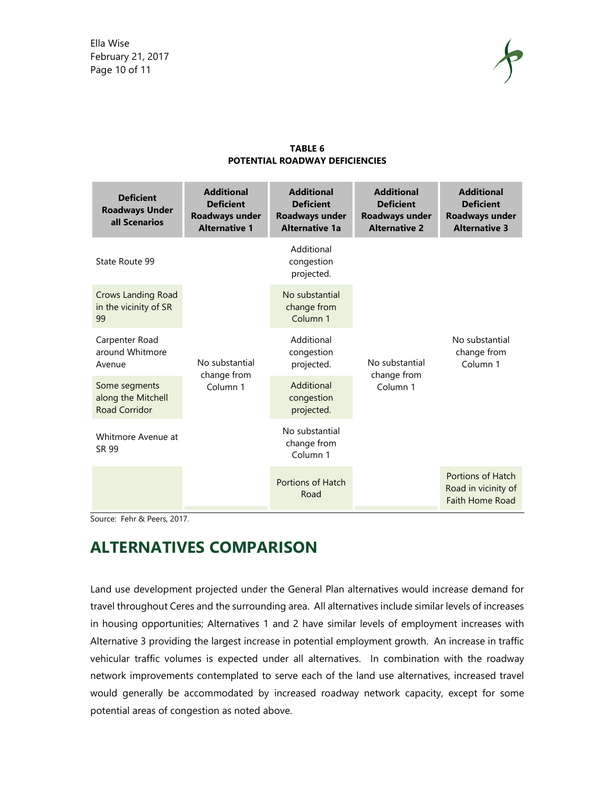

| <b>Deficient</b><br><b>Roadways Under</b><br>all Scenarios  | <b>Additional</b><br><b>Deficient</b><br>Roadways under<br><b>Alternative 1</b> | <b>Additional</b><br><b>Deficient</b><br><b>Roadways under</b><br><b>Alternative 1a</b> | <b>Additional</b><br><b>Deficient</b><br><b>Roadways under</b><br><b>Alternative 2</b> | <b>Additional</b><br><b>Deficient</b><br><b>Roadways under</b><br><b>Alternative 3</b> |
|-------------------------------------------------------------|---------------------------------------------------------------------------------|-----------------------------------------------------------------------------------------|----------------------------------------------------------------------------------------|----------------------------------------------------------------------------------------|
| State Route 99                                              |                                                                                 | Additional<br>congestion<br>projected.                                                  | No substantial<br>change from<br>Column <sub>1</sub>                                   | No substantial<br>change from<br>Column 1                                              |
| <b>Crows Landing Road</b><br>in the vicinity of SR<br>99    |                                                                                 | No substantial<br>change from<br>Column <sub>1</sub>                                    |                                                                                        |                                                                                        |
| Carpenter Road<br>around Whitmore<br>Avenue                 | No substantial                                                                  | Additional<br>congestion<br>projected.                                                  |                                                                                        |                                                                                        |
| Some segments<br>along the Mitchell<br><b>Road Corridor</b> | change from<br>Column <sub>1</sub>                                              | Additional<br>congestion<br>projected.                                                  |                                                                                        |                                                                                        |
| Whitmore Avenue at<br>SR 99                                 |                                                                                 | No substantial<br>change from<br>Column <sub>1</sub>                                    |                                                                                        |                                                                                        |
|                                                             |                                                                                 | Portions of Hatch<br>Road                                                               |                                                                                        | Portions of Hatch<br>Road in vicinity of<br><b>Faith Home Road</b>                     |

#### **TABLE 6 POTENTIAL ROADWAY DEFICIENCIES**

Source: Fehr & Peers, 2017.

## **ALTERNATIVES COMPARISON**

Land use development projected under the General Plan alternatives would increase demand for travel throughout Ceres and the surrounding area. All alternatives include similar levels of increases in housing opportunities; Alternatives 1 and 2 have similar levels of employment increases with Alternative 3 providing the largest increase in potential employment growth. An increase in traffic vehicular traffic volumes is expected under all alternatives. In combination with the roadway network improvements contemplated to serve each of the land use alternatives, increased travel would generally be accommodated by increased roadway network capacity, except for some potential areas of congestion as noted above.